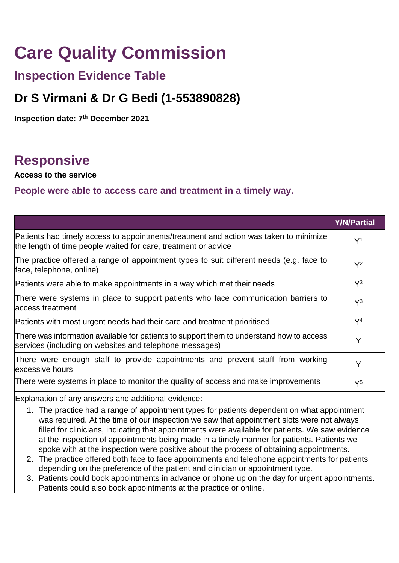## **Care Quality Commission**

## **Inspection Evidence Table**

## **Dr S Virmani & Dr G Bedi (1-553890828)**

**Inspection date: 7 th December 2021**

## **Responsive**

**Access to the service**

**People were able to access care and treatment in a timely way.**

| Patients had timely access to appointments/treatment and action was taken to minimize<br>the length of time people waited for care, treatment or advice | Y <sup>1</sup> |
|---------------------------------------------------------------------------------------------------------------------------------------------------------|----------------|
| The practice offered a range of appointment types to suit different needs (e.g. face to<br>face, telephone, online)                                     | $Y^2$          |
| Patients were able to make appointments in a way which met their needs                                                                                  | $\mathsf{Y}^3$ |
| There were systems in place to support patients who face communication barriers to<br>laccess treatment                                                 | $Y^3$          |
| Patients with most urgent needs had their care and treatment prioritised                                                                                | $\mathsf{Y}^4$ |
| There was information available for patients to support them to understand how to access<br>services (including on websites and telephone messages)     | Y              |
| There were enough staff to provide appointments and prevent staff from working<br>excessive hours                                                       | Y              |
| There were systems in place to monitor the quality of access and make improvements                                                                      | $Y^5$          |

Explanation of any answers and additional evidence:

- 1. The practice had a range of appointment types for patients dependent on what appointment was required. At the time of our inspection we saw that appointment slots were not always filled for clinicians, indicating that appointments were available for patients. We saw evidence at the inspection of appointments being made in a timely manner for patients. Patients we spoke with at the inspection were positive about the process of obtaining appointments.
- 2. The practice offered both face to face appointments and telephone appointments for patients depending on the preference of the patient and clinician or appointment type.
- 3. Patients could book appointments in advance or phone up on the day for urgent appointments. Patients could also book appointments at the practice or online.